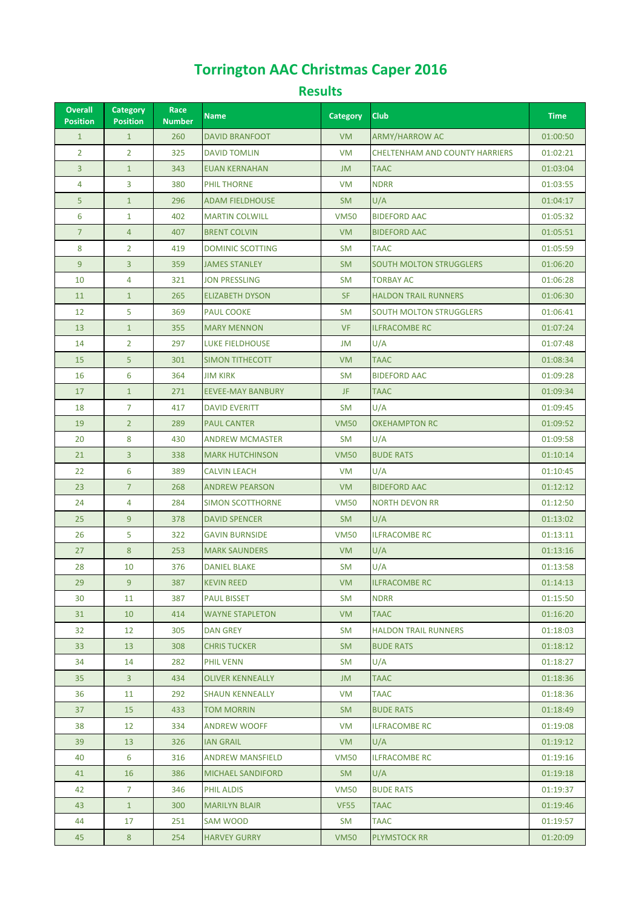## **Torrington AAC Christmas Caper 2016**

## **Results**

| <b>Overall</b><br><b>Position</b> | <b>Category</b><br><b>Position</b> | Race<br><b>Number</b> | <b>Name</b>              | <b>Category</b> | <b>Club</b>                           | <b>Time</b> |
|-----------------------------------|------------------------------------|-----------------------|--------------------------|-----------------|---------------------------------------|-------------|
| $\mathbf{1}$                      | $\mathbf{1}$                       | 260                   | <b>DAVID BRANFOOT</b>    | <b>VM</b>       | <b>ARMY/HARROW AC</b>                 | 01:00:50    |
| $\overline{2}$                    | $\overline{2}$                     | 325                   | <b>DAVID TOMLIN</b>      | <b>VM</b>       | <b>CHELTENHAM AND COUNTY HARRIERS</b> | 01:02:21    |
| 3                                 | $\mathbf{1}$                       | 343                   | <b>EUAN KERNAHAN</b>     | JM              | <b>TAAC</b>                           | 01:03:04    |
| 4                                 | 3                                  | 380                   | PHIL THORNE              | VM              | <b>NDRR</b>                           | 01:03:55    |
| 5                                 | $\mathbf{1}$                       | 296                   | <b>ADAM FIELDHOUSE</b>   | <b>SM</b>       | U/A                                   | 01:04:17    |
| 6                                 | $\mathbf{1}$                       | 402                   | <b>MARTIN COLWILL</b>    | <b>VM50</b>     | <b>BIDEFORD AAC</b>                   | 01:05:32    |
| $\overline{7}$                    | $\overline{4}$                     | 407                   | <b>BRENT COLVIN</b>      | <b>VM</b>       | <b>BIDEFORD AAC</b>                   | 01:05:51    |
| 8                                 | $\overline{2}$                     | 419                   | <b>DOMINIC SCOTTING</b>  | <b>SM</b>       | <b>TAAC</b>                           | 01:05:59    |
| 9                                 | $\overline{3}$                     | 359                   | <b>JAMES STANLEY</b>     | <b>SM</b>       | <b>SOUTH MOLTON STRUGGLERS</b>        | 01:06:20    |
| 10                                | 4                                  | 321                   | <b>JON PRESSLING</b>     | <b>SM</b>       | <b>TORBAY AC</b>                      | 01:06:28    |
| 11                                | $\mathbf{1}$                       | 265                   | <b>ELIZABETH DYSON</b>   | <b>SF</b>       | <b>HALDON TRAIL RUNNERS</b>           | 01:06:30    |
| 12                                | 5                                  | 369                   | <b>PAUL COOKE</b>        | <b>SM</b>       | <b>SOUTH MOLTON STRUGGLERS</b>        | 01:06:41    |
| 13                                | $\mathbf{1}$                       | 355                   | <b>MARY MENNON</b>       | <b>VF</b>       | <b>ILFRACOMBE RC</b>                  | 01:07:24    |
| 14                                | $\overline{2}$                     | 297                   | <b>LUKE FIELDHOUSE</b>   | JM              | U/A                                   | 01:07:48    |
| 15                                | 5                                  | 301                   | SIMON TITHECOTT          | <b>VM</b>       | <b>TAAC</b>                           | 01:08:34    |
| 16                                | 6                                  | 364                   | <b>JIM KIRK</b>          | <b>SM</b>       | <b>BIDEFORD AAC</b>                   | 01:09:28    |
| 17                                | $\mathbf{1}$                       | 271                   | <b>EEVEE-MAY BANBURY</b> | JF.             | <b>TAAC</b>                           | 01:09:34    |
| 18                                | $\overline{7}$                     | 417                   | <b>DAVID EVERITT</b>     | <b>SM</b>       | U/A                                   | 01:09:45    |
| 19                                | $\overline{2}$                     | 289                   | <b>PAUL CANTER</b>       | <b>VM50</b>     | <b>OKEHAMPTON RC</b>                  | 01:09:52    |
| 20                                | 8                                  | 430                   | <b>ANDREW MCMASTER</b>   | <b>SM</b>       | U/A                                   | 01:09:58    |
| 21                                | $\overline{3}$                     | 338                   | <b>MARK HUTCHINSON</b>   | <b>VM50</b>     | <b>BUDE RATS</b>                      | 01:10:14    |
| 22                                | 6                                  | 389                   | <b>CALVIN LEACH</b>      | <b>VM</b>       | U/A                                   | 01:10:45    |
| 23                                | $\overline{7}$                     | 268                   | <b>ANDREW PEARSON</b>    | <b>VM</b>       | <b>BIDEFORD AAC</b>                   | 01:12:12    |
| 24                                | 4                                  | 284                   | <b>SIMON SCOTTHORNE</b>  | <b>VM50</b>     | <b>NORTH DEVON RR</b>                 | 01:12:50    |
| 25                                | 9                                  | 378                   | <b>DAVID SPENCER</b>     | <b>SM</b>       | U/A                                   | 01:13:02    |
| 26                                | 5                                  | 322                   | <b>GAVIN BURNSIDE</b>    | <b>VM50</b>     | <b>ILFRACOMBE RC</b>                  | 01:13:11    |
| 27                                | 8                                  | 253                   | <b>MARK SAUNDERS</b>     | <b>VM</b>       | U/A                                   | 01:13:16    |
| 28                                | 10                                 | 376                   | <b>DANIEL BLAKE</b>      | <b>SM</b>       | U/A                                   | 01:13:58    |
| 29                                | 9                                  | 387                   | <b>KEVIN REED</b>        | <b>VM</b>       | <b>ILFRACOMBE RC</b>                  | 01:14:13    |
| 30                                | 11                                 | 387                   | <b>PAUL BISSET</b>       | SM              | <b>NDRR</b>                           | 01:15:50    |
| 31                                | 10 <sup>°</sup>                    | 414                   | <b>WAYNE STAPLETON</b>   | <b>VM</b>       | <b>TAAC</b>                           | 01:16:20    |
| 32                                | 12                                 | 305                   | <b>DAN GREY</b>          | SM              | <b>HALDON TRAIL RUNNERS</b>           | 01:18:03    |
| 33                                | 13                                 | 308                   | <b>CHRIS TUCKER</b>      | <b>SM</b>       | <b>BUDE RATS</b>                      | 01:18:12    |
| 34                                | 14                                 | 282                   | <b>PHIL VENN</b>         | SM              | U/A                                   | 01:18:27    |
| 35                                | 3                                  | 434                   | <b>OLIVER KENNEALLY</b>  | JM              | <b>TAAC</b>                           | 01:18:36    |
| 36                                | 11                                 | 292                   | <b>SHAUN KENNEALLY</b>   | VM              | <b>TAAC</b>                           | 01:18:36    |
| 37                                | 15                                 | 433                   | <b>TOM MORRIN</b>        | <b>SM</b>       | <b>BUDE RATS</b>                      | 01:18:49    |
| 38                                | 12                                 | 334                   | <b>ANDREW WOOFF</b>      | VM              | <b>ILFRACOMBE RC</b>                  | 01:19:08    |
| 39                                | 13 <sup>°</sup>                    | 326                   | <b>IAN GRAIL</b>         | VM              | U/A                                   | 01:19:12    |
| 40                                | 6                                  | 316                   | <b>ANDREW MANSFIELD</b>  | <b>VM50</b>     | <b>ILFRACOMBE RC</b>                  | 01:19:16    |
| 41                                | 16                                 | 386                   | <b>MICHAEL SANDIFORD</b> | SM.             | U/A                                   | 01:19:18    |
| 42                                | $\overline{7}$                     | 346                   | PHIL ALDIS               | <b>VM50</b>     | <b>BUDE RATS</b>                      | 01:19:37    |
| 43                                | $\mathbf{1}$                       | 300                   | <b>MARILYN BLAIR</b>     | <b>VF55</b>     | <b>TAAC</b>                           | 01:19:46    |
| 44                                | 17                                 | 251                   | SAM WOOD                 | SM              | TAAC                                  | 01:19:57    |
| 45                                | $8\phantom{1}$                     | 254                   | <b>HARVEY GURRY</b>      | <b>VM50</b>     | <b>PLYMSTOCK RR</b>                   | 01:20:09    |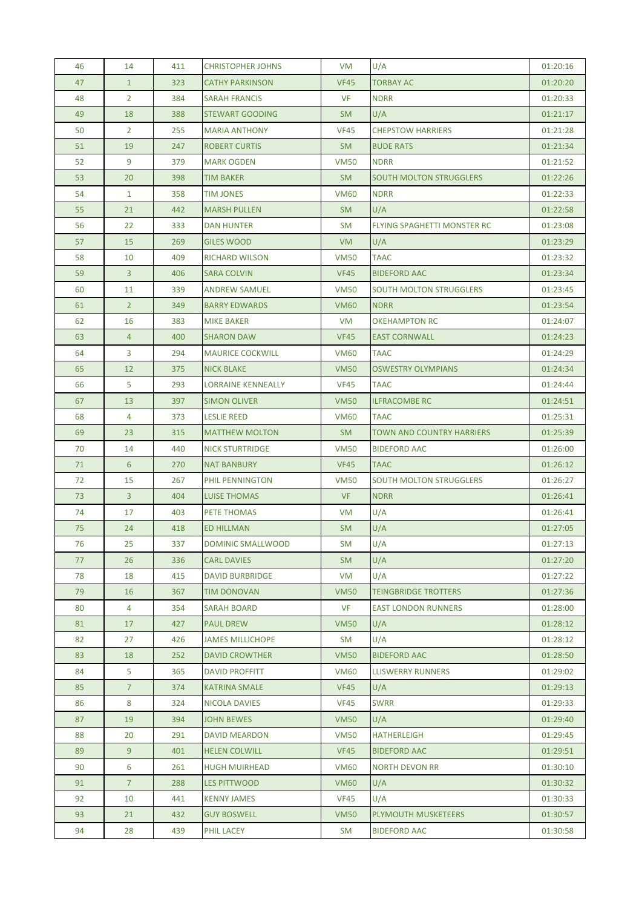| 46 | 14             | 411 | <b>CHRISTOPHER JOHNS</b>  | VM          | U/A                                | 01:20:16 |
|----|----------------|-----|---------------------------|-------------|------------------------------------|----------|
| 47 | $\mathbf{1}$   | 323 | <b>CATHY PARKINSON</b>    | <b>VF45</b> | <b>TORBAY AC</b>                   | 01:20:20 |
| 48 | $\overline{2}$ | 384 | <b>SARAH FRANCIS</b>      | <b>VF</b>   | <b>NDRR</b>                        | 01:20:33 |
| 49 | 18             | 388 | <b>STEWART GOODING</b>    | <b>SM</b>   | U/A                                | 01:21:17 |
| 50 | $\overline{2}$ | 255 | <b>MARIA ANTHONY</b>      | <b>VF45</b> | <b>CHEPSTOW HARRIERS</b>           | 01:21:28 |
| 51 | 19             | 247 | <b>ROBERT CURTIS</b>      | <b>SM</b>   | <b>BUDE RATS</b>                   | 01:21:34 |
| 52 | 9              | 379 | <b>MARK OGDEN</b>         | <b>VM50</b> | <b>NDRR</b>                        | 01:21:52 |
| 53 | 20             | 398 | <b>TIM BAKER</b>          | <b>SM</b>   | <b>SOUTH MOLTON STRUGGLERS</b>     | 01:22:26 |
| 54 | $\mathbf{1}$   | 358 | <b>TIM JONES</b>          | <b>VM60</b> | <b>NDRR</b>                        | 01:22:33 |
| 55 | 21             | 442 | <b>MARSH PULLEN</b>       | <b>SM</b>   | U/A                                | 01:22:58 |
| 56 | 22             | 333 | DAN HUNTER                | <b>SM</b>   | <b>FLYING SPAGHETTI MONSTER RC</b> | 01:23:08 |
| 57 | 15             | 269 | <b>GILES WOOD</b>         | <b>VM</b>   | U/A                                | 01:23:29 |
| 58 | 10             | 409 | <b>RICHARD WILSON</b>     | <b>VM50</b> | <b>TAAC</b>                        | 01:23:32 |
| 59 | $\mathbf{3}$   | 406 | <b>SARA COLVIN</b>        | <b>VF45</b> | <b>BIDEFORD AAC</b>                | 01:23:34 |
| 60 | 11             | 339 | <b>ANDREW SAMUEL</b>      | <b>VM50</b> | <b>SOUTH MOLTON STRUGGLERS</b>     | 01:23:45 |
| 61 | 2 <sup>2</sup> | 349 | <b>BARRY EDWARDS</b>      | <b>VM60</b> | <b>NDRR</b>                        | 01:23:54 |
| 62 | 16             | 383 | <b>MIKE BAKER</b>         | <b>VM</b>   | <b>OKEHAMPTON RC</b>               | 01:24:07 |
| 63 | $\overline{4}$ | 400 | <b>SHARON DAW</b>         | <b>VF45</b> | <b>EAST CORNWALL</b>               | 01:24:23 |
| 64 | 3              | 294 | <b>MAURICE COCKWILL</b>   | <b>VM60</b> | <b>TAAC</b>                        | 01:24:29 |
| 65 | 12             | 375 | <b>NICK BLAKE</b>         | <b>VM50</b> | <b>OSWESTRY OLYMPIANS</b>          | 01:24:34 |
| 66 | 5              | 293 | <b>LORRAINE KENNEALLY</b> | <b>VF45</b> | <b>TAAC</b>                        | 01:24:44 |
| 67 | 13             | 397 | <b>SIMON OLIVER</b>       | <b>VM50</b> | <b>ILFRACOMBE RC</b>               | 01:24:51 |
| 68 | 4              | 373 | <b>LESLIE REED</b>        | <b>VM60</b> | <b>TAAC</b>                        | 01:25:31 |
| 69 | 23             | 315 | <b>MATTHEW MOLTON</b>     | SM.         | <b>TOWN AND COUNTRY HARRIERS</b>   | 01:25:39 |
| 70 | 14             | 440 | <b>NICK STURTRIDGE</b>    | <b>VM50</b> | <b>BIDEFORD AAC</b>                | 01:26:00 |
| 71 | 6              | 270 | <b>NAT BANBURY</b>        | <b>VF45</b> | <b>TAAC</b>                        | 01:26:12 |
| 72 | 15             | 267 | PHIL PENNINGTON           | <b>VM50</b> | <b>SOUTH MOLTON STRUGGLERS</b>     | 01:26:27 |
| 73 | $\mathbf{3}$   | 404 | <b>LUISE THOMAS</b>       | <b>VF</b>   | <b>NDRR</b>                        | 01:26:41 |
| 74 | 17             | 403 | PETE THOMAS               | <b>VM</b>   | U/A                                | 01:26:41 |
| 75 | 24             | 418 | <b>ED HILLMAN</b>         | <b>SM</b>   | U/A                                | 01:27:05 |
| 76 | 25             | 337 | DOMINIC SMALLWOOD         | <b>SM</b>   | U/A                                | 01:27:13 |
| 77 | 26             | 336 | <b>CARL DAVIES</b>        | <b>SM</b>   | U/A                                | 01:27:20 |
| 78 | 18             | 415 | <b>DAVID BURBRIDGE</b>    | VM          | U/A                                | 01:27:22 |
| 79 | 16             | 367 | <b>TIM DONOVAN</b>        | <b>VM50</b> | <b>TEINGBRIDGE TROTTERS</b>        | 01:27:36 |
| 80 | 4              | 354 | SARAH BOARD               | <b>VF</b>   | <b>EAST LONDON RUNNERS</b>         | 01:28:00 |
| 81 | 17             | 427 | <b>PAUL DREW</b>          | <b>VM50</b> | U/A                                | 01:28:12 |
| 82 | 27             | 426 | <b>JAMES MILLICHOPE</b>   | SM          | U/A                                | 01:28:12 |
| 83 | 18             | 252 | <b>DAVID CROWTHER</b>     | <b>VM50</b> | <b>BIDEFORD AAC</b>                | 01:28:50 |
| 84 | 5              | 365 | <b>DAVID PROFFITT</b>     | <b>VM60</b> | <b>LLISWERRY RUNNERS</b>           | 01:29:02 |
| 85 | 7 <sup>1</sup> | 374 | <b>KATRINA SMALE</b>      | <b>VF45</b> | U/A                                | 01:29:13 |
| 86 | 8              | 324 | NICOLA DAVIES             | <b>VF45</b> | <b>SWRR</b>                        | 01:29:33 |
| 87 | 19             | 394 | <b>JOHN BEWES</b>         | <b>VM50</b> | U/A                                | 01:29:40 |
| 88 | 20             | 291 | <b>DAVID MEARDON</b>      | <b>VM50</b> | <b>HATHERLEIGH</b>                 | 01:29:45 |
| 89 | 9              | 401 | <b>HELEN COLWILL</b>      | <b>VF45</b> | <b>BIDEFORD AAC</b>                | 01:29:51 |
| 90 | 6              | 261 | <b>HUGH MUIRHEAD</b>      | <b>VM60</b> | <b>NORTH DEVON RR</b>              | 01:30:10 |
| 91 | $\overline{7}$ | 288 | LES PITTWOOD              | <b>VM60</b> | U/A                                | 01:30:32 |
| 92 | 10             | 441 | <b>KENNY JAMES</b>        | <b>VF45</b> | U/A                                | 01:30:33 |
| 93 | 21             | 432 | <b>GUY BOSWELL</b>        | <b>VM50</b> | PLYMOUTH MUSKETEERS                | 01:30:57 |
| 94 | 28             | 439 | PHIL LACEY                | SM          | <b>BIDEFORD AAC</b>                | 01:30:58 |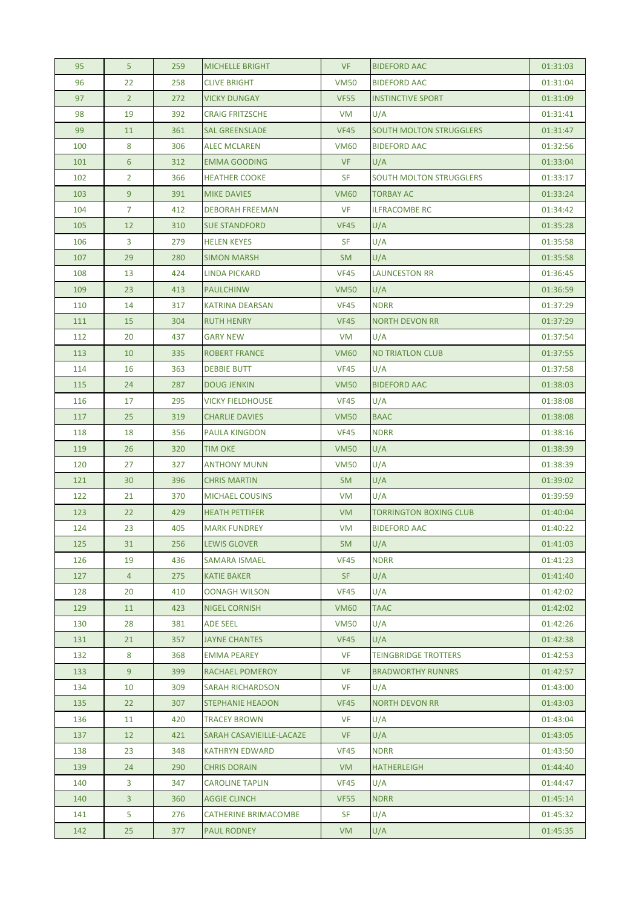| 95  | 5              | 259 | <b>MICHELLE BRIGHT</b>      | <b>VF</b>   | <b>BIDEFORD AAC</b>            | 01:31:03 |
|-----|----------------|-----|-----------------------------|-------------|--------------------------------|----------|
| 96  | 22             | 258 | <b>CLIVE BRIGHT</b>         | <b>VM50</b> | <b>BIDEFORD AAC</b>            | 01:31:04 |
| 97  | $2^{\circ}$    | 272 | <b>VICKY DUNGAY</b>         | <b>VF55</b> | <b>INSTINCTIVE SPORT</b>       | 01:31:09 |
| 98  | 19             | 392 | <b>CRAIG FRITZSCHE</b>      | VM          | U/A                            | 01:31:41 |
| 99  | 11             | 361 | <b>SAL GREENSLADE</b>       | <b>VF45</b> | <b>SOUTH MOLTON STRUGGLERS</b> | 01:31:47 |
| 100 | 8              | 306 | <b>ALEC MCLAREN</b>         | <b>VM60</b> | <b>BIDEFORD AAC</b>            | 01:32:56 |
| 101 | $6^{\circ}$    | 312 | <b>EMMA GOODING</b>         | <b>VF</b>   | U/A                            | 01:33:04 |
| 102 | $\overline{2}$ | 366 | <b>HEATHER COOKE</b>        | <b>SF</b>   | <b>SOUTH MOLTON STRUGGLERS</b> | 01:33:17 |
| 103 | 9              | 391 | <b>MIKE DAVIES</b>          | <b>VM60</b> | TORBAY AC                      | 01:33:24 |
| 104 | $\overline{7}$ | 412 | <b>DEBORAH FREEMAN</b>      | <b>VF</b>   | <b>ILFRACOMBE RC</b>           | 01:34:42 |
| 105 | 12             | 310 | <b>SUE STANDFORD</b>        | <b>VF45</b> | U/A                            | 01:35:28 |
| 106 | 3              | 279 | <b>HELEN KEYES</b>          | <b>SF</b>   | U/A                            | 01:35:58 |
| 107 | 29             | 280 | <b>SIMON MARSH</b>          | <b>SM</b>   | U/A                            | 01:35:58 |
| 108 | 13             | 424 | LINDA PICKARD               | <b>VF45</b> | <b>LAUNCESTON RR</b>           | 01:36:45 |
| 109 | 23             | 413 | <b>PAULCHINW</b>            | <b>VM50</b> | U/A                            | 01:36:59 |
| 110 | 14             | 317 | <b>KATRINA DEARSAN</b>      | <b>VF45</b> | <b>NDRR</b>                    | 01:37:29 |
| 111 | 15             | 304 | <b>RUTH HENRY</b>           | <b>VF45</b> | <b>NORTH DEVON RR</b>          | 01:37:29 |
| 112 | 20             | 437 | <b>GARY NEW</b>             | VM          | U/A                            | 01:37:54 |
| 113 | 10             | 335 | <b>ROBERT FRANCE</b>        | <b>VM60</b> | <b>ND TRIATLON CLUB</b>        | 01:37:55 |
| 114 | 16             | 363 | <b>DEBBIE BUTT</b>          | <b>VF45</b> | U/A                            | 01:37:58 |
| 115 | 24             | 287 | <b>DOUG JENKIN</b>          | <b>VM50</b> | <b>BIDEFORD AAC</b>            | 01:38:03 |
| 116 | 17             | 295 | <b>VICKY FIELDHOUSE</b>     | <b>VF45</b> | U/A                            | 01:38:08 |
| 117 | 25             | 319 | <b>CHARLIE DAVIES</b>       | <b>VM50</b> | <b>BAAC</b>                    | 01:38:08 |
| 118 | 18             | 356 | <b>PAULA KINGDON</b>        | <b>VF45</b> | <b>NDRR</b>                    | 01:38:16 |
| 119 | 26             | 320 | <b>TIM OKE</b>              | <b>VM50</b> | U/A                            | 01:38:39 |
| 120 | 27             | 327 | <b>ANTHONY MUNN</b>         | <b>VM50</b> | U/A                            | 01:38:39 |
| 121 | 30             | 396 | <b>CHRIS MARTIN</b>         | <b>SM</b>   | U/A                            | 01:39:02 |
| 122 | 21             | 370 | <b>MICHAEL COUSINS</b>      | <b>VM</b>   | U/A                            | 01:39:59 |
| 123 | 22             | 429 | <b>HEATH PETTIFER</b>       | VM.         | <b>TORRINGTON BOXING CLUB</b>  | 01:40:04 |
| 124 | 23             | 405 | <b>MARK FUNDREY</b>         | <b>VM</b>   | <b>BIDEFORD AAC</b>            | 01:40:22 |
| 125 | 31             | 256 | <b>LEWIS GLOVER</b>         | <b>SM</b>   | U/A                            | 01:41:03 |
| 126 | 19             | 436 | <b>SAMARA ISMAEL</b>        | <b>VF45</b> | <b>NDRR</b>                    | 01:41:23 |
| 127 | $\overline{4}$ | 275 | <b>KATIE BAKER</b>          | SF.         | U/A                            | 01:41:40 |
| 128 | 20             | 410 | <b>OONAGH WILSON</b>        | <b>VF45</b> | U/A                            | 01:42:02 |
| 129 | 11             | 423 | <b>NIGEL CORNISH</b>        | <b>VM60</b> | TAAC                           | 01:42:02 |
| 130 | 28             | 381 | <b>ADE SEEL</b>             | <b>VM50</b> | U/A                            | 01:42:26 |
| 131 | 21             | 357 | <b>JAYNE CHANTES</b>        | <b>VF45</b> | U/A                            | 01:42:38 |
| 132 | 8              | 368 | <b>EMMA PEAREY</b>          | <b>VF</b>   | <b>TEINGBRIDGE TROTTERS</b>    | 01:42:53 |
| 133 | 9              | 399 | RACHAEL POMEROY             | <b>VF</b>   | <b>BRADWORTHY RUNNRS</b>       | 01:42:57 |
| 134 | 10             | 309 | <b>SARAH RICHARDSON</b>     | <b>VF</b>   | U/A                            | 01:43:00 |
| 135 | 22             | 307 | <b>STEPHANIE HEADON</b>     | <b>VF45</b> | <b>NORTH DEVON RR</b>          | 01:43:03 |
| 136 | 11             | 420 | <b>TRACEY BROWN</b>         | <b>VF</b>   | U/A                            | 01:43:04 |
| 137 | 12             | 421 | SARAH CASAVIEILLE-LACAZE    | <b>VF</b>   | U/A                            | 01:43:05 |
| 138 | 23             | 348 | <b>KATHRYN EDWARD</b>       | <b>VF45</b> | <b>NDRR</b>                    | 01:43:50 |
| 139 | 24             | 290 | <b>CHRIS DORAIN</b>         | VM          | <b>HATHERLEIGH</b>             | 01:44:40 |
| 140 | 3              | 347 | <b>CAROLINE TAPLIN</b>      | <b>VF45</b> | U/A                            | 01:44:47 |
| 140 | $\mathbf{3}$   | 360 | <b>AGGIE CLINCH</b>         | <b>VF55</b> | <b>NDRR</b>                    | 01:45:14 |
| 141 | 5              | 276 | <b>CATHERINE BRIMACOMBE</b> | <b>SF</b>   | U/A                            | 01:45:32 |
| 142 | 25             | 377 | <b>PAUL RODNEY</b>          | <b>VM</b>   | U/A                            | 01:45:35 |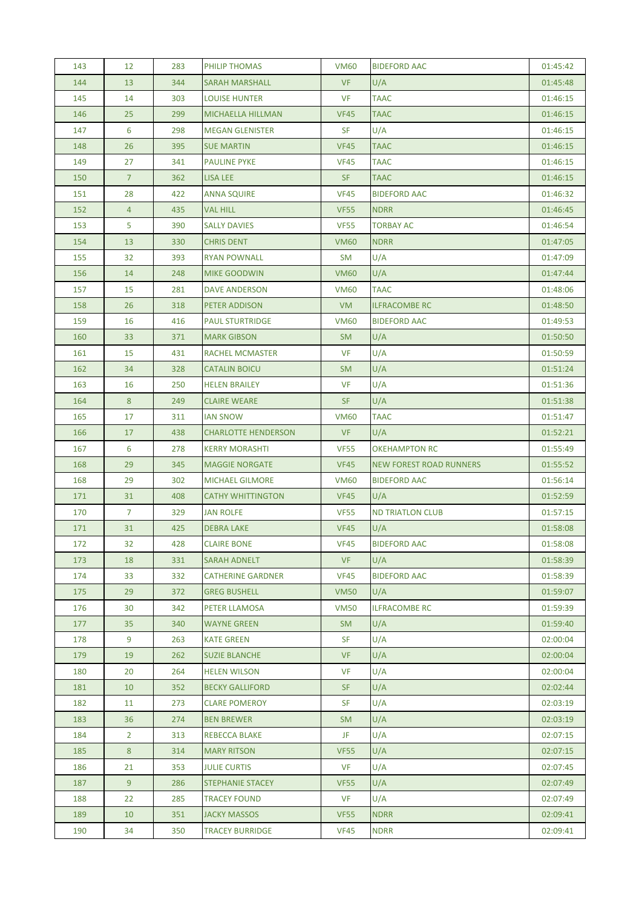| 143 | $12 \overline{ }$ | 283 | PHILIP THOMAS              | <b>VM60</b> | <b>BIDEFORD AAC</b>            | 01:45:42 |
|-----|-------------------|-----|----------------------------|-------------|--------------------------------|----------|
| 144 | 13                | 344 | <b>SARAH MARSHALL</b>      | <b>VF</b>   | U/A                            | 01:45:48 |
| 145 | 14                | 303 | <b>LOUISE HUNTER</b>       | <b>VF</b>   | <b>TAAC</b>                    | 01:46:15 |
| 146 | 25                | 299 | <b>MICHAELLA HILLMAN</b>   | <b>VF45</b> | <b>TAAC</b>                    | 01:46:15 |
| 147 | 6                 | 298 | <b>MEGAN GLENISTER</b>     | <b>SF</b>   | U/A                            | 01:46:15 |
| 148 | 26                | 395 | <b>SUE MARTIN</b>          | <b>VF45</b> | <b>TAAC</b>                    | 01:46:15 |
| 149 | 27                | 341 | <b>PAULINE PYKE</b>        | <b>VF45</b> | TAAC                           | 01:46:15 |
| 150 | $\overline{7}$    | 362 | LISA LEE                   | SF          | <b>TAAC</b>                    | 01:46:15 |
| 151 | 28                | 422 | <b>ANNA SQUIRE</b>         | <b>VF45</b> | <b>BIDEFORD AAC</b>            | 01:46:32 |
| 152 | $\overline{4}$    | 435 | <b>VAL HILL</b>            | <b>VF55</b> | <b>NDRR</b>                    | 01:46:45 |
| 153 | 5                 | 390 | <b>SALLY DAVIES</b>        | <b>VF55</b> | <b>TORBAY AC</b>               | 01:46:54 |
| 154 | 13                | 330 | <b>CHRIS DENT</b>          | <b>VM60</b> | <b>NDRR</b>                    | 01:47:05 |
| 155 | 32                | 393 | <b>RYAN POWNALL</b>        | SM          | U/A                            | 01:47:09 |
| 156 | 14                | 248 | <b>MIKE GOODWIN</b>        | <b>VM60</b> | U/A                            | 01:47:44 |
| 157 | 15                | 281 | <b>DAVE ANDERSON</b>       | <b>VM60</b> | <b>TAAC</b>                    | 01:48:06 |
| 158 | 26                | 318 | <b>PETER ADDISON</b>       | <b>VM</b>   | <b>ILFRACOMBE RC</b>           | 01:48:50 |
| 159 | 16                | 416 | <b>PAUL STURTRIDGE</b>     | <b>VM60</b> | <b>BIDEFORD AAC</b>            | 01:49:53 |
| 160 | 33                | 371 | <b>MARK GIBSON</b>         | <b>SM</b>   | U/A                            | 01:50:50 |
| 161 | 15                | 431 | RACHEL MCMASTER            | <b>VF</b>   | U/A                            | 01:50:59 |
| 162 | 34                | 328 | <b>CATALIN BOICU</b>       | <b>SM</b>   | U/A                            | 01:51:24 |
| 163 | 16                | 250 | <b>HELEN BRAILEY</b>       | <b>VF</b>   | U/A                            | 01:51:36 |
| 164 | 8                 | 249 | <b>CLAIRE WEARE</b>        | SF.         | U/A                            | 01:51:38 |
| 165 | 17                | 311 | <b>IAN SNOW</b>            | <b>VM60</b> | <b>TAAC</b>                    | 01:51:47 |
| 166 | 17                | 438 | <b>CHARLOTTE HENDERSON</b> | <b>VF</b>   | U/A                            | 01:52:21 |
| 167 | 6                 | 278 | <b>KERRY MORASHTI</b>      | <b>VF55</b> | <b>OKEHAMPTON RC</b>           | 01:55:49 |
| 168 | 29                | 345 | <b>MAGGIE NORGATE</b>      | <b>VF45</b> | <b>NEW FOREST ROAD RUNNERS</b> | 01:55:52 |
| 168 | 29                | 302 | <b>MICHAEL GILMORE</b>     | <b>VM60</b> | <b>BIDEFORD AAC</b>            | 01:56:14 |
| 171 | 31                | 408 | <b>CATHY WHITTINGTON</b>   | <b>VF45</b> | U/A                            | 01:52:59 |
| 170 | $\overline{7}$    | 329 | <b>JAN ROLFE</b>           | <b>VF55</b> | <b>ND TRIATLON CLUB</b>        | 01:57:15 |
| 171 | 31                | 425 | <b>DEBRA LAKE</b>          | <b>VF45</b> | U/A                            | 01:58:08 |
| 172 | 32                | 428 | <b>CLAIRE BONE</b>         | <b>VF45</b> | <b>BIDEFORD AAC</b>            | 01:58:08 |
| 173 | 18                | 331 | <b>SARAH ADNELT</b>        | <b>VF</b>   | U/A                            | 01:58:39 |
| 174 | 33                | 332 | <b>CATHERINE GARDNER</b>   | <b>VF45</b> | <b>BIDEFORD AAC</b>            | 01:58:39 |
| 175 | 29                | 372 | <b>GREG BUSHELL</b>        | <b>VM50</b> | U/A                            | 01:59:07 |
| 176 | 30                | 342 | PETER LLAMOSA              | <b>VM50</b> | <b>ILFRACOMBE RC</b>           | 01:59:39 |
| 177 | 35                | 340 | <b>WAYNE GREEN</b>         | SM.         | U/A                            | 01:59:40 |
| 178 | 9                 | 263 | <b>KATE GREEN</b>          | <b>SF</b>   | U/A                            | 02:00:04 |
| 179 | 19                | 262 | <b>SUZIE BLANCHE</b>       | <b>VF</b>   | U/A                            | 02:00:04 |
| 180 | 20                | 264 | <b>HELEN WILSON</b>        | <b>VF</b>   | U/A                            | 02:00:04 |
| 181 | 10                | 352 | <b>BECKY GALLIFORD</b>     | <b>SF</b>   | U/A                            | 02:02:44 |
| 182 | 11                | 273 | <b>CLARE POMEROY</b>       | <b>SF</b>   | U/A                            | 02:03:19 |
| 183 | 36                | 274 | <b>BEN BREWER</b>          | <b>SM</b>   | U/A                            | 02:03:19 |
| 184 | $\overline{2}$    | 313 | <b>REBECCA BLAKE</b>       | JF          | U/A                            | 02:07:15 |
| 185 | 8                 | 314 | <b>MARY RITSON</b>         | <b>VF55</b> | U/A                            | 02:07:15 |
| 186 | 21                | 353 | <b>JULIE CURTIS</b>        | VF          | U/A                            | 02:07:45 |
| 187 | 9                 | 286 | STEPHANIE STACEY           | <b>VF55</b> | U/A                            | 02:07:49 |
| 188 | 22                | 285 | <b>TRACEY FOUND</b>        | <b>VF</b>   | U/A                            | 02:07:49 |
| 189 | 10                | 351 | <b>JACKY MASSOS</b>        | <b>VF55</b> | <b>NDRR</b>                    | 02:09:41 |
| 190 | 34                | 350 | <b>TRACEY BURRIDGE</b>     | <b>VF45</b> | <b>NDRR</b>                    | 02:09:41 |